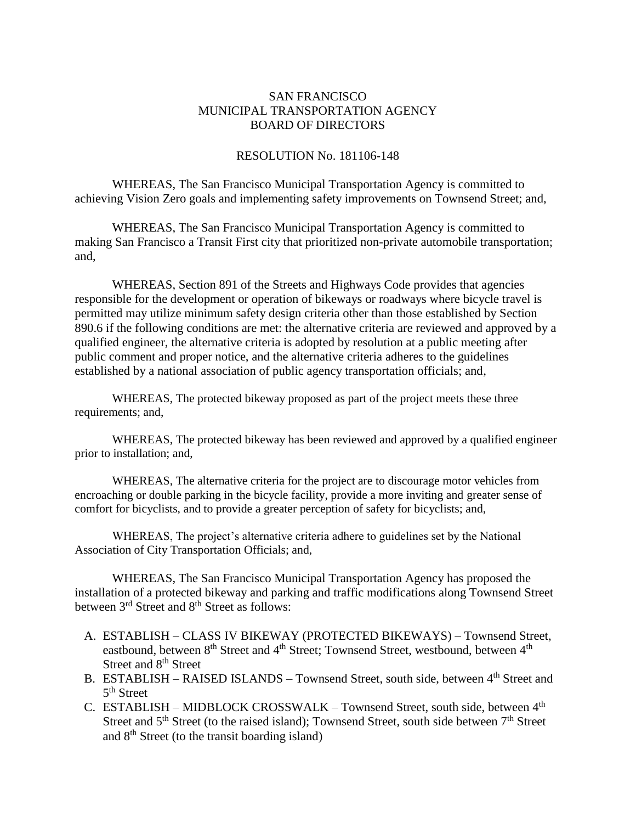## SAN FRANCISCO MUNICIPAL TRANSPORTATION AGENCY BOARD OF DIRECTORS

## RESOLUTION No. 181106-148

WHEREAS, The San Francisco Municipal Transportation Agency is committed to achieving Vision Zero goals and implementing safety improvements on Townsend Street; and,

WHEREAS, The San Francisco Municipal Transportation Agency is committed to making San Francisco a Transit First city that prioritized non-private automobile transportation; and,

WHEREAS, Section 891 of the Streets and Highways Code provides that agencies responsible for the development or operation of bikeways or roadways where bicycle travel is permitted may utilize minimum safety design criteria other than those established by Section 890.6 if the following conditions are met: the alternative criteria are reviewed and approved by a qualified engineer, the alternative criteria is adopted by resolution at a public meeting after public comment and proper notice, and the alternative criteria adheres to the guidelines established by a national association of public agency transportation officials; and,

WHEREAS, The protected bikeway proposed as part of the project meets these three requirements; and,

WHEREAS, The protected bikeway has been reviewed and approved by a qualified engineer prior to installation; and,

WHEREAS, The alternative criteria for the project are to discourage motor vehicles from encroaching or double parking in the bicycle facility, provide a more inviting and greater sense of comfort for bicyclists, and to provide a greater perception of safety for bicyclists; and,

WHEREAS, The project's alternative criteria adhere to guidelines set by the National Association of City Transportation Officials; and,

WHEREAS, The San Francisco Municipal Transportation Agency has proposed the installation of a protected bikeway and parking and traffic modifications along Townsend Street between 3<sup>rd</sup> Street and 8<sup>th</sup> Street as follows:

- A. ESTABLISH CLASS IV BIKEWAY (PROTECTED BIKEWAYS) Townsend Street, eastbound, between 8<sup>th</sup> Street and 4<sup>th</sup> Street; Townsend Street, westbound, between 4<sup>th</sup> Street and 8<sup>th</sup> Street
- B. ESTABLISH RAISED ISLANDS Townsend Street, south side, between 4<sup>th</sup> Street and 5<sup>th</sup> Street
- C. ESTABLISH MIDBLOCK CROSSWALK Townsend Street, south side, between 4th Street and  $5<sup>th</sup>$  Street (to the raised island); Townsend Street, south side between  $7<sup>th</sup>$  Street and  $8<sup>th</sup>$  Street (to the transit boarding island)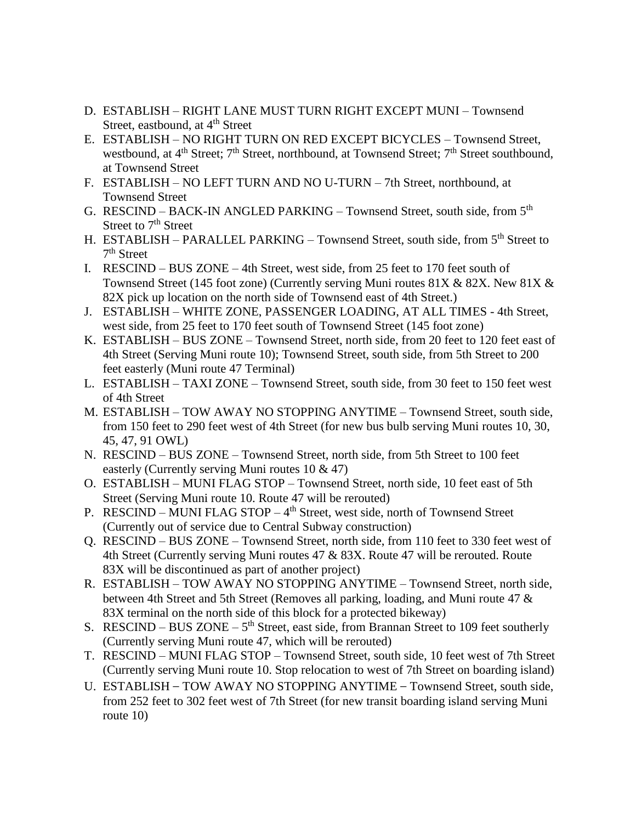- D. ESTABLISH RIGHT LANE MUST TURN RIGHT EXCEPT MUNI Townsend Street, eastbound, at 4<sup>th</sup> Street
- E. ESTABLISH NO RIGHT TURN ON RED EXCEPT BICYCLES Townsend Street, westbound, at 4<sup>th</sup> Street; 7<sup>th</sup> Street, northbound, at Townsend Street; 7<sup>th</sup> Street southbound, at Townsend Street
- F. ESTABLISH NO LEFT TURN AND NO U-TURN 7th Street, northbound, at Townsend Street
- G. RESCIND BACK-IN ANGLED PARKING Townsend Street, south side, from 5<sup>th</sup> Street to 7<sup>th</sup> Street
- H. ESTABLISH PARALLEL PARKING Townsend Street, south side, from 5<sup>th</sup> Street to 7<sup>th</sup> Street
- I. RESCIND BUS ZONE 4th Street, west side, from 25 feet to 170 feet south of Townsend Street (145 foot zone) (Currently serving Muni routes 81X & 82X. New 81X & 82X pick up location on the north side of Townsend east of 4th Street.)
- J. ESTABLISH WHITE ZONE, PASSENGER LOADING, AT ALL TIMES 4th Street, west side, from 25 feet to 170 feet south of Townsend Street (145 foot zone)
- K. ESTABLISH BUS ZONE Townsend Street, north side, from 20 feet to 120 feet east of 4th Street (Serving Muni route 10); Townsend Street, south side, from 5th Street to 200 feet easterly (Muni route 47 Terminal)
- L. ESTABLISH TAXI ZONE Townsend Street, south side, from 30 feet to 150 feet west of 4th Street
- M. ESTABLISH TOW AWAY NO STOPPING ANYTIME Townsend Street, south side, from 150 feet to 290 feet west of 4th Street (for new bus bulb serving Muni routes 10, 30, 45, 47, 91 OWL)
- N. RESCIND BUS ZONE Townsend Street, north side, from 5th Street to 100 feet easterly (Currently serving Muni routes 10 & 47)
- O. ESTABLISH MUNI FLAG STOP Townsend Street, north side, 10 feet east of 5th Street (Serving Muni route 10. Route 47 will be rerouted)
- P. RESCIND MUNI FLAG STOP 4<sup>th</sup> Street, west side, north of Townsend Street (Currently out of service due to Central Subway construction)
- Q. RESCIND BUS ZONE Townsend Street, north side, from 110 feet to 330 feet west of 4th Street (Currently serving Muni routes 47 & 83X. Route 47 will be rerouted. Route 83X will be discontinued as part of another project)
- R. ESTABLISH TOW AWAY NO STOPPING ANYTIME Townsend Street, north side, between 4th Street and 5th Street (Removes all parking, loading, and Muni route 47 & 83X terminal on the north side of this block for a protected bikeway)
- S. RESCIND BUS ZONE  $5<sup>th</sup>$  Street, east side, from Brannan Street to 109 feet southerly (Currently serving Muni route 47, which will be rerouted)
- T. RESCIND MUNI FLAG STOP Townsend Street, south side, 10 feet west of 7th Street (Currently serving Muni route 10. Stop relocation to west of 7th Street on boarding island)
- U. ESTABLISH TOW AWAY NO STOPPING ANYTIME Townsend Street, south side, from 252 feet to 302 feet west of 7th Street (for new transit boarding island serving Muni route 10)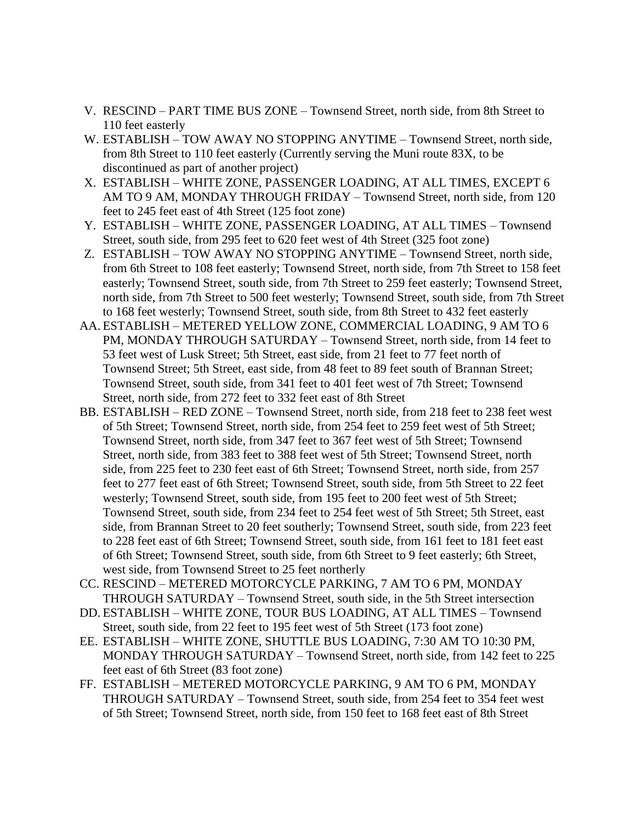- V. RESCIND PART TIME BUS ZONE Townsend Street, north side, from 8th Street to 110 feet easterly
- W. ESTABLISH TOW AWAY NO STOPPING ANYTIME Townsend Street, north side, from 8th Street to 110 feet easterly (Currently serving the Muni route 83X, to be discontinued as part of another project)
- X. ESTABLISH WHITE ZONE, PASSENGER LOADING, AT ALL TIMES, EXCEPT 6 AM TO 9 AM, MONDAY THROUGH FRIDAY – Townsend Street, north side, from 120 feet to 245 feet east of 4th Street (125 foot zone)
- Y. ESTABLISH WHITE ZONE, PASSENGER LOADING, AT ALL TIMES Townsend Street, south side, from 295 feet to 620 feet west of 4th Street (325 foot zone)
- Z. ESTABLISH TOW AWAY NO STOPPING ANYTIME Townsend Street, north side, from 6th Street to 108 feet easterly; Townsend Street, north side, from 7th Street to 158 feet easterly; Townsend Street, south side, from 7th Street to 259 feet easterly; Townsend Street, north side, from 7th Street to 500 feet westerly; Townsend Street, south side, from 7th Street to 168 feet westerly; Townsend Street, south side, from 8th Street to 432 feet easterly
- AA. ESTABLISH METERED YELLOW ZONE, COMMERCIAL LOADING, 9 AM TO 6 PM, MONDAY THROUGH SATURDAY – Townsend Street, north side, from 14 feet to 53 feet west of Lusk Street; 5th Street, east side, from 21 feet to 77 feet north of Townsend Street; 5th Street, east side, from 48 feet to 89 feet south of Brannan Street; Townsend Street, south side, from 341 feet to 401 feet west of 7th Street; Townsend Street, north side, from 272 feet to 332 feet east of 8th Street
- BB. ESTABLISH RED ZONE Townsend Street, north side, from 218 feet to 238 feet west of 5th Street; Townsend Street, north side, from 254 feet to 259 feet west of 5th Street; Townsend Street, north side, from 347 feet to 367 feet west of 5th Street; Townsend Street, north side, from 383 feet to 388 feet west of 5th Street; Townsend Street, north side, from 225 feet to 230 feet east of 6th Street; Townsend Street, north side, from 257 feet to 277 feet east of 6th Street; Townsend Street, south side, from 5th Street to 22 feet westerly; Townsend Street, south side, from 195 feet to 200 feet west of 5th Street; Townsend Street, south side, from 234 feet to 254 feet west of 5th Street; 5th Street, east side, from Brannan Street to 20 feet southerly; Townsend Street, south side, from 223 feet to 228 feet east of 6th Street; Townsend Street, south side, from 161 feet to 181 feet east of 6th Street; Townsend Street, south side, from 6th Street to 9 feet easterly; 6th Street, west side, from Townsend Street to 25 feet northerly
- CC. RESCIND METERED MOTORCYCLE PARKING, 7 AM TO 6 PM, MONDAY THROUGH SATURDAY – Townsend Street, south side, in the 5th Street intersection
- DD. ESTABLISH WHITE ZONE, TOUR BUS LOADING, AT ALL TIMES Townsend Street, south side, from 22 feet to 195 feet west of 5th Street (173 foot zone)
- EE. ESTABLISH WHITE ZONE, SHUTTLE BUS LOADING, 7:30 AM TO 10:30 PM, MONDAY THROUGH SATURDAY – Townsend Street, north side, from 142 feet to 225 feet east of 6th Street (83 foot zone)
- FF. ESTABLISH METERED MOTORCYCLE PARKING, 9 AM TO 6 PM, MONDAY THROUGH SATURDAY – Townsend Street, south side, from 254 feet to 354 feet west of 5th Street; Townsend Street, north side, from 150 feet to 168 feet east of 8th Street